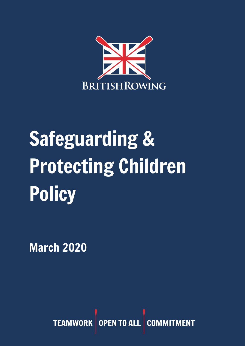

# Safeguarding & Protecting Children Policy

March 2020

TEAMWORK OPEN TO ALL **CON**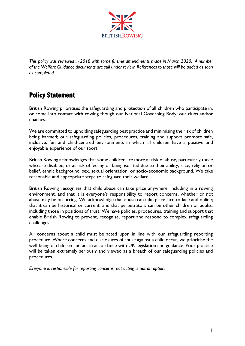

*This policy was reviewed in 2018 with some further amendments made in March 2020. A number of the Welfare Guidance documents are still under review. References to those will be added as soon as completed.*

## Policy Statement

British Rowing prioritises the safeguarding and protection of all children who participate in, or come into contact with rowing though our National Governing Body, our clubs and/or coaches.

We are committed to upholding safeguarding best practice and minimising the risk of children being harmed; our safeguarding policies, procedures, training and support promote safe, inclusive, fun and child-centred environments in which all children have a positive and enjoyable experience of our sport.

British Rowing acknowledges that some children are more at risk of abuse, particularly those who are disabled, or at risk of feeling or being isolated due to their ability, race, religion or belief, ethnic background, sex, sexual orientation, or socio-economic background. We take reasonable and appropriate steps to safeguard their welfare.

British Rowing recognises that child abuse can take place anywhere, including in a rowing environment, and that it is everyone's responsibility to report concerns, whether or not abuse may be occurring. We acknowledge that abuse can take place face-to-face and online; that it can be historical or current; and that perpetrators can be other children or adults, including those in positions of trust. We have policies, procedures, training and support that enable British Rowing to prevent, recognise, report and respond to complex safeguarding challenges.

All concerns about a child must be acted upon in line with our safeguarding reporting procedure. Where concerns and disclosures of abuse against a child occur, we prioritise the well-being of children and act in accordance with UK legislation and guidance. Poor practice will be taken extremely seriously and viewed as a breach of our safeguarding policies and procedures.

*Everyone is responsible for reporting concerns; not acting is not an option.*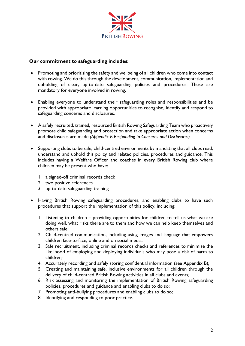

#### **Our commitment to safeguarding includes:**

- Promoting and prioritising the safety and wellbeing of all children who come into contact with rowing. We do this through the development, communication, implementation and upholding of clear, up-to-date safeguarding policies and procedures. These are mandatory for everyone involved in rowing.
- Enabling everyone to understand their safeguarding roles and responsibilities and be provided with appropriate learning opportunities to recognise, identify and respond to safeguarding concerns and disclosures*.*
- A safely recruited, trained, resourced British Rowing Safeguarding Team who proactively promote child safeguarding and protection and take appropriate action when concerns and disclosures are made *(Appendix B Responding to Concerns and Disclosures).*
- Supporting clubs to be safe, child-centred environments by mandating that all clubs read, understand and uphold this policy and related policies, procedures and guidance. This includes having a Welfare Officer and coaches in every British Rowing club where children may be present who have:
	- 1. a signed-off criminal records check
	- 2. two positive references
	- 3. up-to-date safeguarding training
- Having British Rowing safeguarding procedures, and enabling clubs to have such procedures that support the implementation of this policy, including:
	- 1. Listening to children providing opportunities for children to tell us what we are doing well, what risks there are to them and how we can help keep themselves and others safe;
	- 2. Child-centred communication, including using images and language that empowers children face-to-face, online and on social media;
	- 3. Safe recruitment, including criminal records checks and references to minimise the likelihood of employing and deploying individuals who may pose a risk of harm to children*;*
	- 4. Accurately recording and safely storing confidential information (see Appendix B)*;*
	- 5. Creating and maintaining safe, inclusive environments for all children through the delivery of child-centred British Rowing activities in all clubs and events*;*
	- 6. Risk assessing and monitoring the implementation of British Rowing safeguarding policies, procedures and guidance and enabling clubs to do so;
	- *7.* Promoting anti-bullying procedures and enabling clubs to do so*;*
	- 8. Identifying and responding to poor practice.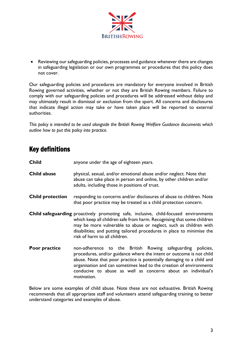

• Reviewing our safeguarding policies, processes and guidance whenever there are changes in safeguarding legislation or our own programmes or procedures that this policy does not cover.

Our safeguarding policies and procedures are mandatory for everyone involved in British Rowing governed activities, whether or not they are British Rowing members. Failure to comply with our safeguarding policies and procedures will be addressed without delay and may ultimately result in dismissal or exclusion from the sport. All concerns and disclosures that indicate illegal action may take or have taken place will be reported to external authorities.

*This policy is intended to be used alongside the British Rowing Welfare Guidance documents which outline how to put this policy into practice.* 

#### Key definitions

| <b>Child</b> | anyone under the age of eighteen years. |
|--------------|-----------------------------------------|
|--------------|-----------------------------------------|

- **Child abuse** physical, sexual, and/or emotional abuse and/or neglect. Note that abuse can take place in person and online, by other children and/or adults, including those in positions of trust.
- **Child protection** responding to concerns and/or disclosures of abuse to children. Note that poor practice may be treated as a child protection concern.
- **Child safeguarding** proactively promoting safe, inclusive, child-focused environments which keep all children safe from harm. Recognising that some children may be more vulnerable to abuse or neglect, such as children with disabilities; and putting tailored procedures in place to minimise the risk of harm to all children.
- **Poor practice** non-adherence to the British Rowing safeguarding policies, procedures, and/or guidance where the intent or outcome is not child abuse. Note that poor practice is potentially damaging to a child and organisation and can sometimes lead to the creation of environments conducive to abuse as well as concerns about an individual's motivation.

Below are some examples of child abuse. Note these are not exhaustive. British Rowing recommends that all appropriate staff and volunteers attend safeguarding training to better understand categories and examples of abuse.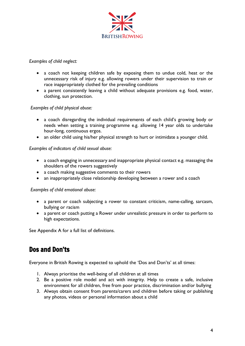

#### *Examples of child neglect:*

- a coach not keeping children safe by exposing them to undue cold, heat or the unnecessary risk of injury e.g. allowing rowers under their supervision to train or race inappropriately clothed for the prevailing conditions
- a parent consistently leaving a child without adequate provisions e.g. food, water, clothing, sun protection.

#### *Examples of child physical abuse:*

- a coach disregarding the individual requirements of each child's growing body or needs when setting a training programme e.g. allowing 14 year olds to undertake hour-long, continuous ergos.
- an older child using his/her physical strength to hurt or intimidate a younger child.

#### *Examples of indicators of child sexual abuse:*

- a coach engaging in unnecessary and inappropriate physical contact e.g. massaging the shoulders of the rowers suggestively
- a coach making suggestive comments to their rowers
- an inappropriately close relationship developing between a rower and a coach

#### *Examples of child emotional abuse:*

- a parent or coach subjecting a rower to constant criticism, name-calling, sarcasm, bullying or racism
- a parent or coach putting a Rower under unrealistic pressure in order to perform to high expectations.

See Appendix A for a full list of definitions.

#### Dos and Don'ts

Everyone in British Rowing is expected to uphold the 'Dos and Don'ts' at all times:

- 1. Always prioritise the well-being of all children at all times
- 2. Be a positive role model and act with integrity. Help to create a safe, inclusive environment for all children, free from poor practice, discrimination and/or bullying
- 3. Always obtain consent from parents/carers and children before taking or publishing any photos, videos or personal information about a child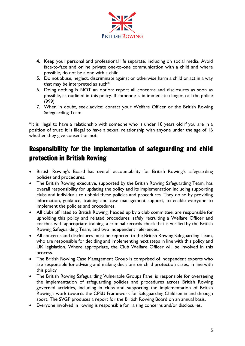

- 4. Keep your personal and professional life separate, including on social media. Avoid face-to-face and online private one-to-one communication with a child and where possible, do not be alone with a child
- 5. Do not abuse, neglect, discriminate against or otherwise harm a child or act in a way that may be interpreted as such\*
- 6. Doing nothing is NOT an option: report all concerns and disclosures as soon as possible, as outlined in this policy. If someone is in immediate danger, call the police (999)
- 7. When in doubt, seek advice: contact your Welfare Officer or the British Rowing Safeguarding Team.

\*It is illegal to have a relationship with someone who is under 18 years old if you are in a position of trust; it is illegal to have a sexual relationship with anyone under the age of 16 whether they give consent or not.

## Responsibility for the implementation of safeguarding and child protection in British Rowing

- British Rowing's Board has overall accountability for British Rowing's safeguarding policies and procedures.
- The British Rowing executive, supported by the British Rowing Safeguarding Team, has overall responsibility for updating the policy and its implementation including supporting clubs and individuals to uphold these policies and procedures. They do so by providing information, guidance, training and case management support, to enable everyone to implement the policies and procedures.
- All clubs affiliated to British Rowing, headed up by a club committee, are responsible for upholding this policy and related procedures; safely recruiting a Welfare Officer and coaches with appropriate training, a criminal records check that is verified by the British Rowing Safeguarding Team, and two independent references.
- All concerns and disclosures must be reported to the British Rowing Safeguarding Team, who are responsible for deciding and implementing next steps in line with this policy and UK legislation. Where appropriate, the Club Welfare Officer will be involved in this process.
- The British Rowing Case Management Group is comprised of independent experts who are responsible for advising and making decisions on child protection cases, in line with this policy
- The British Rowing Safeguarding Vulnerable Groups Panel is responsible for overseeing the implementation of safeguarding policies and procedures across British Rowing governed activities, including in clubs and supporting the implementation of British Rowing's work towards the CPSU Framework for Safeguarding Children in and through sport. The SVGP produces a report for the British Rowing Board on an annual basis.
- Everyone involved in rowing is responsible for raising concerns and/or disclosures.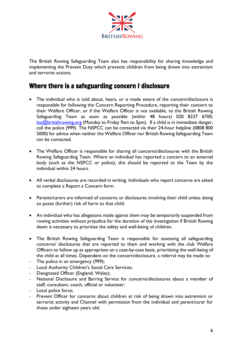

The British Rowing Safeguarding Team also has responsibility for sharing knowledge and implementing the Prevent Duty which prevents children from being drawn into extremism and terrorist actions.

#### Where there is a safeguarding concern *I* disclosure

- The individual who is told about, hears, or is made aware of the concern/disclosure is responsible for following the Concern Reporting Procedure, reporting their concern to their Welfare Officer, or if the Welfare Officer is not available, to the British Rowing Safeguarding Team as soon as possible (within 48 hours) 020 8237 6700; [lso@britishrowing.org](mailto:lso@britishrowing.org) (Monday to Friday 9am to 5pm). If a child is in immediate danger, call the police (999). The NSPCC can be contacted via their 24-hour helpline (0808 800 5000) for advice when neither the Welfare Officer nor British Rowing Safeguarding Team can be contacted.
- The Welfare Officer is responsible for sharing all concerns/disclosures with the British Rowing Safeguarding Team. Where an individual has reported a concern to an external body (such as the NSPCC or police), this should be reported to the Team by the individual within 24 hours.
- All verbal disclosures are recorded in writing. Individuals who report concerns are asked to complete a Report a Concern form.
- Parents/carers are informed of concerns or disclosures involving their child unless doing so poses (further) risk of harm to that child.
- An individual who has allegations made against them may be temporarily suspended from rowing activities without prejudice for the duration of the investigation if British Rowing deem it necessary to prioritise the safety and well-being of children.
- The British Rowing Safeguarding Team is responsible for assessing all safeguarding concerns/ disclosures that are reported to them and working with the club Welfare Officers to follow up as appropriate on a case-by-case basis, prioritising the well-being of the child at all times. Dependent on the concern/disclosure, a referral may be made to:
- The police in an emergency (999);
- Local Authority Children's Social Care Services;
- Designated Officer (England; Wales);
- National Disclosure and Barring Service for concerns/disclosures about a member of staff, consultant, coach, official or volunteer;
- Local police force:
- Prevent Officer for concerns about children at risk of being drawn into extremism or terrorist activity and Channel with permission from the individual and parent/carer for those under eighteen years old;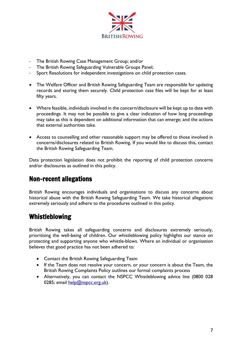

- The British Rowing Case Management Group; and/or
- The British Rowing Safeguarding Vulnerable Groups Panel;
- Sport Resolutions for independent investigations on child protection cases.
- The Welfare Officer and British Rowing Safeguarding Team are responsible for updating records and storing them securely. Child protection case files will be kept for at least fifty years.
- Where feasible, individuals involved in the concern/disclosure will be kept up to date with proceedings. It may not be possible to give a clear indication of how long proceedings may take as this is dependent on additional information that can emerge; and the actions that external authorities take.
- Access to counselling and other reasonable support may be offered to those involved in concerns/disclosures related to British Rowing. If you would like to discuss this, contact the British Rowing Safeguarding Team.

Data protection legislation does not prohibit the reporting of child protection concerns and/or disclosures as outlined in this policy.

#### Non-recent allegations

British Rowing encourages individuals and organisations to discuss any concerns about historical abuse with the British Rowing Safeguarding Team. We take historical allegations extremely seriously and adhere to the procedures outlined in this policy.

#### Whistleblowing

British Rowing takes all safeguarding concerns and disclosures extremely seriously, prioritising the well-being of children. Our whistleblowing policy highlights our stance on protecting and supporting anyone who whistle-blows. Where an individual or organisation believes that good practice has not been adhered to:

- Contact the British Rowing Safeguarding Team
- If the Team does not resolve your concern, or your concern is about the Team, the British Rowing Complaints Policy outlines our formal complaints process
- Alternatively, you can contact the NSPCC Whistleblowing advice line (0800 028 0285; email [help@nspcc.org.uk\)](mailto:help@nspcc.org.uk).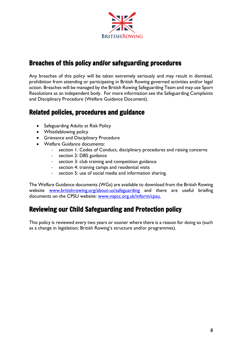

### Breaches of this policy and/or safeguarding procedures

Any breaches of this policy will be taken extremely seriously and may result in dismissal, prohibition from attending or participating in British Rowing governed activities and/or legal action. Breaches will be managed by the British Rowing Safeguarding Team and may use Sport Resolutions as an independent body. For more information see the Safeguarding Complaints and Disciplinary Procedure (Welfare Guidance Document).

### Related policies, procedures and guidance

- Safeguarding Adults at Risk Policy
- Whistleblowing policy
- Grievance and Disciplinary Procedure
- Welfare Guidance documents:
	- section 1. Codes of Conduct, disciplinary procedures and raising concerns
	- section 2: DBS guidance
	- section 3: club training and competition guidance
	- section 4: training camps and residential visits
	- section 5: use of social media and information sharing.

The Welfare Guidance documents (WGs) are available to download from the British Rowing website www.britishrowing.org/about-us/safeguarding and there are useful briefing documents on the CPSU website: [www.nspcc.org.uk/inform/cpsu.](http://www.nspcc.org.uk/inform/cpsu)

#### Reviewing our Child Safeguarding and Protection policy

This policy is reviewed every two years or sooner where there is a reason for doing so (such as a change in legislation; British Rowing's structure and/or programmes).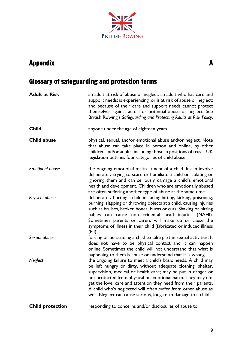# **BRITISH ROWING**

## Appendix A

## Glossary of safeguarding and protection terms

| <b>Adult at Risk</b>    | an adult at risk of abuse or neglect: an adult who has care and<br>support needs; is experiencing, or is at risk of abuse or neglect;<br>and because of their care and support needs cannot protect<br>themselves against actual or potential abuse or neglect. See<br>British Rowing's Safeguarding and Protecting Adults at Risk Policy.                                                                                                                        |
|-------------------------|-------------------------------------------------------------------------------------------------------------------------------------------------------------------------------------------------------------------------------------------------------------------------------------------------------------------------------------------------------------------------------------------------------------------------------------------------------------------|
| <b>Child</b>            | anyone under the age of eighteen years.                                                                                                                                                                                                                                                                                                                                                                                                                           |
| <b>Child abuse</b>      | physical, sexual, and/or emotional abuse and/or neglect. Note<br>that abuse can take place in person and online, by other<br>children and/or adults, including those in positions of trust. UK<br>legislation outlines four categories of child abuse:                                                                                                                                                                                                            |
| <b>Emotional abuse</b>  | the ongoing emotional maltreatment of a child. It can involve<br>deliberately trying to scare or humiliate a child or isolating or<br>ignoring them and can seriously damage a child's emotional<br>health and development. Children who are emotionally abused<br>are often suffering another type of abuse at the same time.                                                                                                                                    |
| Physical abuse          | deliberately hurting a child including hitting, kicking, poisoning,<br>burning, slapping or throwing objects at a child, causing injuries<br>such as bruises, broken bones, burns or cuts. Shaking or hitting<br>babies can cause non-accidental head injuries (NAHI).<br>Sometimes parents or carers will make up or cause the<br>symptoms of illness in their child (fabricated or induced illness<br>(FII).                                                    |
| Sexual abuse            | forcing or persuading a child to take part in sexual activities. It<br>does not have to be physical contact and it can happen<br>online. Sometimes the child will not understand that what is<br>happening to them is abuse or understand that it is wrong.                                                                                                                                                                                                       |
| Neglect                 | the ongoing failure to meet a child's basic needs. A child may<br>be left hungry or dirty, without adequate clothing, shelter,<br>supervision, medical or health care; may be put in danger or<br>not protected from physical or emotional harm. They may not<br>get the love, care and attention they need from their parents.<br>A child who's neglected will often suffer from other abuse as<br>well. Neglect can cause serious, long-term damage to a child. |
| <b>Child protection</b> | responding to concerns and/or disclosures of abuse to                                                                                                                                                                                                                                                                                                                                                                                                             |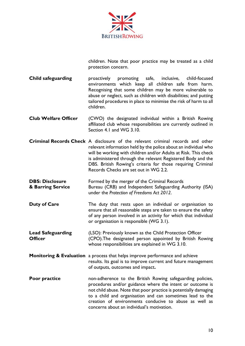

children. Note that poor practice may be treated as a child protection concern.

**Child safeguarding** proactively promoting safe, inclusive, child-focused environments which keep all children safe from harm. Recognising that some children may be more vulnerable to abuse or neglect, such as children with disabilities; and putting tailored procedures in place to minimise the risk of harm to all children.

**Club Welfare Officer** (CWO) the designated individual within a British Rowing affiliated club whose responsibilities are currently outlined in Section 4.1 and WG 3.10.

**Criminal Records Check** A disclosure of the relevant criminal records and other relevant information held by the police about an individual who will be working with children and/or Adults at Risk. This check is administered through the relevant Registered Body and the DBS. British Rowing's criteria for those requiring Criminal Records Checks are set out in WG 2.2.

**DBS: Disclosure** Formed by the merger of the Criminal Records **& Barring Service** Bureau (CRB) and Independent Safeguarding Authority (ISA) under the *Protection of Freedoms Act 2012*.

- **Duty of Care** The duty that rests upon an individual or organisation to ensure that all reasonable steps are taken to ensure the safety of any person involved in an activity for which that individual or organisation is responsible (WG 3.1).
- **Lead Safeguarding** (LSO): Previously known as the Child Protection Officer **Officer** (CPO). The designated person appointed by British Rowing whose responsibilities are explained in WG 3.10.
- **Monitoring & Evaluation** a process that helps improve performance and achieve results. Its goal is to improve current and future management of outputs, outcomes and impact**.**
- **Poor practice** non-adherence to the British Rowing safeguarding policies, procedures and/or guidance where the intent or outcome is not child abuse. Note that poor practice is potentially damaging to a child and organisation and can sometimes lead to the creation of environments conducive to abuse as well as concerns about an individual's motivation.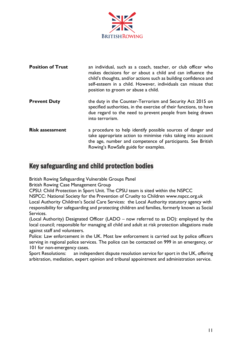

| <b>Position of Trust</b> | an individual, such as a coach, teacher, or club officer who<br>makes decisions for or about a child and can influence the<br>child's thoughts, and/or actions such as building confidence and<br>self-esteem in a child. However, individuals can misuse that<br>position to groom or abuse a child. |
|--------------------------|-------------------------------------------------------------------------------------------------------------------------------------------------------------------------------------------------------------------------------------------------------------------------------------------------------|
| <b>Prevent Duty</b>      | the duty in the Counter-Terrorism and Security Act 2015 on<br>specified authorities, in the exercise of their functions, to have<br>due regard to the need to prevent people from being drawn<br>into terrorism.                                                                                      |
| <b>Risk assessment</b>   | a procedure to help identify possible sources of danger and<br>take appropriate action to minimise risks taking into account<br>the age, number and competence of participants. See British<br>Rowing's RowSafe guide for examples.                                                                   |

#### Key safeguarding and child protection bodies

British Rowing Safeguarding Vulnerable Groups Panel

British Rowing Case Management Group

CPSU: Child Protection in Sport Unit. The CPSU team is sited within the NSPCC

NSPCC: National Society for the Prevention of Cruelty to Children www.nspcc.org.uk Local Authority Children's Social Care Services: the Local Authority statutory agency with responsibility for safeguarding and protecting children and families, formerly known as Social Services.

(Local Authority) Designated Officer (LADO – now referred to as DO): employed by the local council; responsible for managing all child and adult at risk protection allegations made against staff and volunteers.

Police: Law enforcement in the UK. Most law enforcement is carried out by police officers serving in regional police services. The police can be contacted on 999 in an emergency, or 101 for non-emergency cases.

Sport Resolutions: an independent dispute resolution service for sport in the UK, offering arbitration, mediation, expert opinion and tribunal appointment and administration service.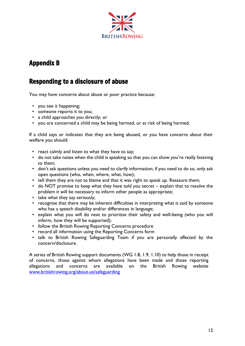

#### Appendix B

#### Responding to a disclosure of abuse

You may have concerns about abuse or poor practice because:

- you see it happening;
- someone reports it to you;
- a child approaches you directly; or
- you are concerned a child may be being harmed, or at risk of being harmed.

If a child says or indicates that they are being abused, or you have concerns about their welfare you should:

- react calmly and listen to what they have to say;
- do not take notes when the child is speaking so that you can show you're really listening to them;
- don't ask questions unless you need to clarify information; if you need to do so, only ask open questions (who, when, where, what, how);
- tell them they are not to blame and that it was right to speak up. Reassure them;
- do NOT promise to keep what they have told you secret explain that to resolve the problem it will be necessary to inform other people as appropriate;
- take what they say seriously;
- recognise that there may be inherent difficulties in interpreting what is said by someone who has a speech disability and/or differences in language;
- explain what you will do next to prioritise their safety and well-being (who you will inform, how they will be supported);
- follow the British Rowing Reporting Concerns procedure
- record all information using the Reporting Concerns form
- talk to British Rowing Safeguarding Team if you are personally affected by the concern/disclosure.

A series of British Rowing support documents (WG 1.8, 1.9, 1.10) to help those in receipt of concerns, those against whom allegations have been made and those reporting allegations and concerns are available on the British Rowing website [www.britishrowing.org/about-us/safeguarding](http://www.britishrowing.org/about-us/safeguarding)